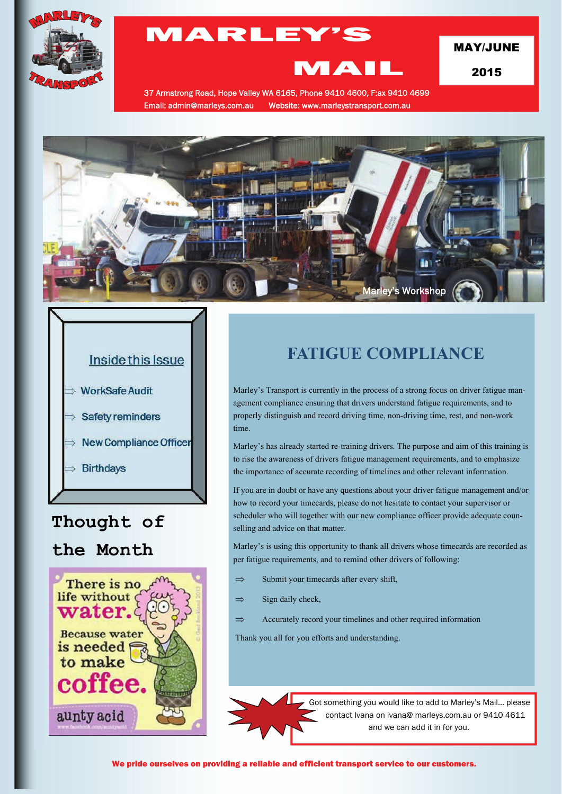

# MARLEY'S

MAY/JUNE

2015

37 Armstrong Road, Hope Valley WA 6165, Phone 9410 4600, F:ax 9410 4699 Email: admin@marleys.com.au Website: www.marleystransport.com.au

MAIL





## **Thought of**

## **the Month**



# **FATIGUE COMPLIANCE**

Marley's Transport is currently in the process of a strong focus on driver fatigue management compliance ensuring that drivers understand fatigue requirements, and to properly distinguish and record driving time, non-driving time, rest, and non-work time.

Marley's has already started re-training drivers. The purpose and aim of this training is to rise the awareness of drivers fatigue management requirements, and to emphasize the importance of accurate recording of timelines and other relevant information.

If you are in doubt or have any questions about your driver fatigue management and/or how to record your timecards, please do not hesitate to contact your supervisor or scheduler who will together with our new compliance officer provide adequate counselling and advice on that matter.

Marley's is using this opportunity to thank all drivers whose timecards are recorded as per fatigue requirements, and to remind other drivers of following:

- $\Rightarrow$  Submit your timecards after every shift,
- $\implies$  Sign daily check,
- $\Rightarrow$  Accurately record your timelines and other required information

Thank you all for you efforts and understanding.



Got something you would like to add to Marley's Mail... please contact Ivana on ivana@ marleys.com.au or 9410 4611 and we can add it in for you.

We pride ourselves on providing a reliable and efficient transport service to our customers.